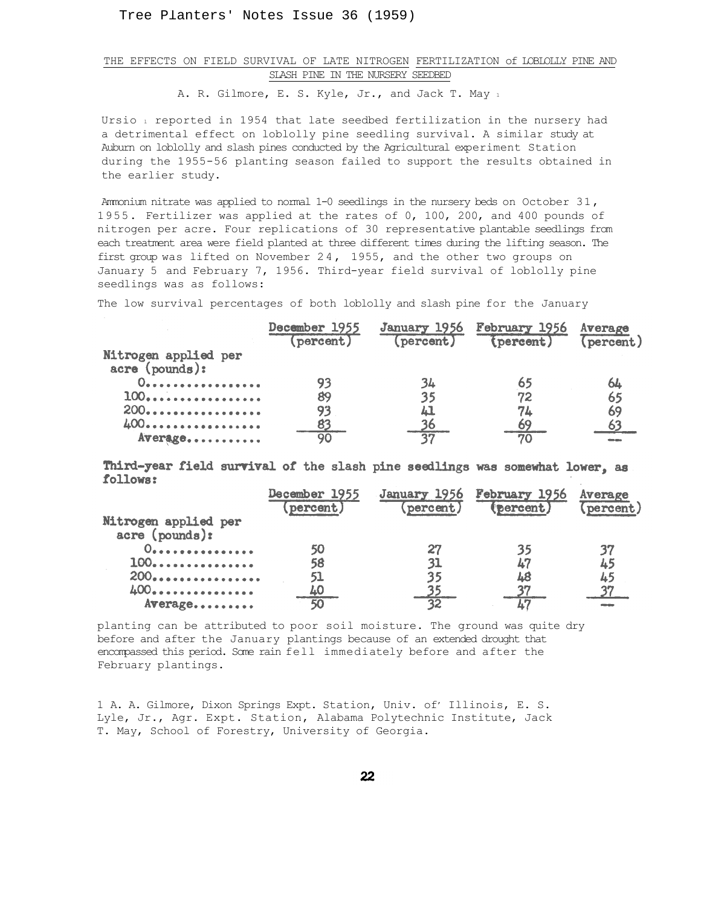Tree Planters' Notes Issue 36 (1959)

## THE EFFECTS ON FIELD SURVIVAL OF LATE NITROGEN FERTILIZATION of LOBLOLLY PINE AND SLASH PINE IN THE NURSERY SEEDBED

A. R. Gilmore, E. S. Kyle, Jr., and Jack T. May 1

Ursio i reported in 1954 that late seedbed fertilization in the nursery had a detrimental effect on loblolly pine seedling survival. A similar study at Auburn on loblolly and slash pines conducted by the Agricultural experiment Station during the 1955-56 planting season failed to support the results obtained in the earlier study.

Ammonium nitrate was applied to normal 1-0 seedlings in the nursery beds on October 31, 1955. Fertilizer was applied at the rates of 0, 100, 200, and 400 pounds of nitrogen per acre. Four replications of 30 representative plantable seedlings from each treatment area were field planted at three different times during the lifting season. The first group was lifted on November 24, 1955, and the other two groups on January 5 and February 7, 1956. Third-year field survival of loblolly pine seedlings was as follows:

The low survival percentages of both loblolly and slash pine for the January

|                                           | December 1955<br>(percent) |    | January 1956 February 1956<br>(percent) (percent) | Average<br>(percent) |
|-------------------------------------------|----------------------------|----|---------------------------------------------------|----------------------|
| Nitrogen applied per<br>$accre$ (pounds): |                            |    |                                                   |                      |
| 0.                                        | 93                         | 34 | 65                                                | 64                   |
| 100                                       | 89                         | 35 | 72                                                | 65                   |
| 200.                                      | 93                         | ப  | 74                                                | 69                   |
| 400                                       | 83                         |    | 69                                                |                      |
| Average                                   | 90                         |    | 70                                                |                      |

Third-year field survival of the slash pine seedlings was somewhat lower, as follows:

|                      | December 1955 |          | January 1956 February 1956 | Average   |
|----------------------|---------------|----------|----------------------------|-----------|
|                      | (percent)     | percent) | (percent)                  | (percent) |
| Nitrogen applied per |               |          |                            |           |
| acre (pounds):       |               |          |                            |           |
| 0                    |               |          | 35                         |           |
| 100.                 | 58            | 31       | 47                         | 45        |
| 200                  | 51            |          | Δ8                         |           |
| 400                  |               |          |                            |           |
| Average              | 50            |          |                            |           |

planting can be attributed to poor soil moisture. The ground was quite dry before and after the January plantings because of an extended drought that encompassed this period. Some rain fell immediately before and after the February plantings.

1 A. A. Gilmore, Dixon Springs Expt. Station, Univ. of' Illinois, E. S. Lyle, Jr., Agr. Expt. Station, Alabama Polytechnic Institute, Jack T. May, School of Forestry, University of Georgia.